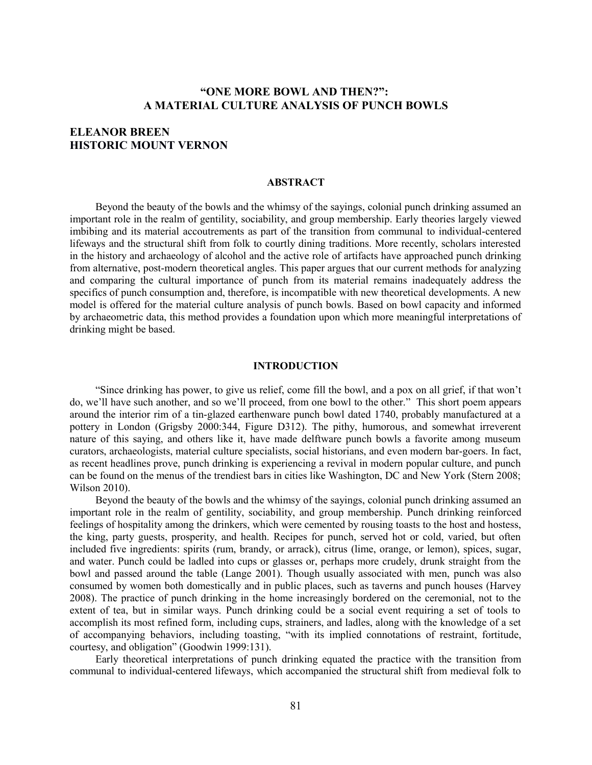# **"ONE MORE BOWL AND THEN?": A MATERIAL CULTURE ANALYSIS OF PUNCH BOWLS**

# **ELEANOR BREEN HISTORIC MOUNT VERNON**

#### **ABSTRACT**

Beyond the beauty of the bowls and the whimsy of the sayings, colonial punch drinking assumed an important role in the realm of gentility, sociability, and group membership. Early theories largely viewed imbibing and its material accoutrements as part of the transition from communal to individual-centered lifeways and the structural shift from folk to courtly dining traditions. More recently, scholars interested in the history and archaeology of alcohol and the active role of artifacts have approached punch drinking from alternative, post-modern theoretical angles. This paper argues that our current methods for analyzing and comparing the cultural importance of punch from its material remains inadequately address the specifics of punch consumption and, therefore, is incompatible with new theoretical developments. A new model is offered for the material culture analysis of punch bowls. Based on bowl capacity and informed by archaeometric data, this method provides a foundation upon which more meaningful interpretations of drinking might be based.

#### **INTRODUCTION**

"Since drinking has power, to give us relief, come fill the bowl, and a pox on all grief, if that won't do, we'll have such another, and so we'll proceed, from one bowl to the other." This short poem appears around the interior rim of a tin-glazed earthenware punch bowl dated 1740, probably manufactured at a pottery in London (Grigsby 2000:344, Figure D312). The pithy, humorous, and somewhat irreverent nature of this saying, and others like it, have made delftware punch bowls a favorite among museum curators, archaeologists, material culture specialists, social historians, and even modern bar-goers. In fact, as recent headlines prove, punch drinking is experiencing a revival in modern popular culture, and punch can be found on the menus of the trendiest bars in cities like Washington, DC and New York (Stern 2008; Wilson 2010).

Beyond the beauty of the bowls and the whimsy of the sayings, colonial punch drinking assumed an important role in the realm of gentility, sociability, and group membership. Punch drinking reinforced feelings of hospitality among the drinkers, which were cemented by rousing toasts to the host and hostess, the king, party guests, prosperity, and health. Recipes for punch, served hot or cold, varied, but often included five ingredients: spirits (rum, brandy, or arrack), citrus (lime, orange, or lemon), spices, sugar, and water. Punch could be ladled into cups or glasses or, perhaps more crudely, drunk straight from the bowl and passed around the table (Lange 2001). Though usually associated with men, punch was also consumed by women both domestically and in public places, such as taverns and punch houses (Harvey 2008). The practice of punch drinking in the home increasingly bordered on the ceremonial, not to the extent of tea, but in similar ways. Punch drinking could be a social event requiring a set of tools to accomplish its most refined form, including cups, strainers, and ladles, along with the knowledge of a set of accompanying behaviors, including toasting, "with its implied connotations of restraint, fortitude, courtesy, and obligation" (Goodwin 1999:131).

Early theoretical interpretations of punch drinking equated the practice with the transition from communal to individual-centered lifeways, which accompanied the structural shift from medieval folk to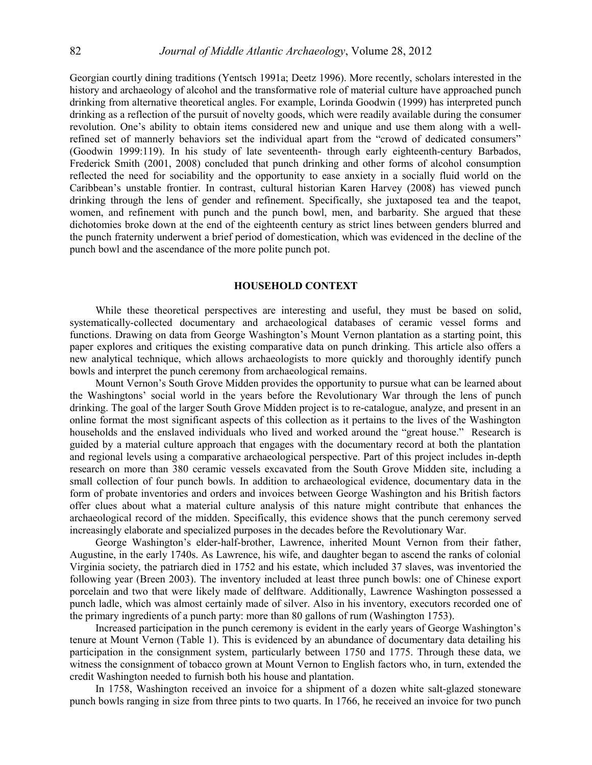Georgian courtly dining traditions (Yentsch 1991a; Deetz 1996). More recently, scholars interested in the history and archaeology of alcohol and the transformative role of material culture have approached punch drinking from alternative theoretical angles. For example, Lorinda Goodwin (1999) has interpreted punch drinking as a reflection of the pursuit of novelty goods, which were readily available during the consumer revolution. One's ability to obtain items considered new and unique and use them along with a wellrefined set of mannerly behaviors set the individual apart from the "crowd of dedicated consumers" (Goodwin 1999:119). In his study of late seventeenth- through early eighteenth-century Barbados, Frederick Smith (2001, 2008) concluded that punch drinking and other forms of alcohol consumption reflected the need for sociability and the opportunity to ease anxiety in a socially fluid world on the Caribbean's unstable frontier. In contrast, cultural historian Karen Harvey (2008) has viewed punch drinking through the lens of gender and refinement. Specifically, she juxtaposed tea and the teapot, women, and refinement with punch and the punch bowl, men, and barbarity. She argued that these dichotomies broke down at the end of the eighteenth century as strict lines between genders blurred and the punch fraternity underwent a brief period of domestication, which was evidenced in the decline of the punch bowl and the ascendance of the more polite punch pot.

#### **HOUSEHOLD CONTEXT**

While these theoretical perspectives are interesting and useful, they must be based on solid, systematically-collected documentary and archaeological databases of ceramic vessel forms and functions. Drawing on data from George Washington's Mount Vernon plantation as a starting point, this paper explores and critiques the existing comparative data on punch drinking. This article also offers a new analytical technique, which allows archaeologists to more quickly and thoroughly identify punch bowls and interpret the punch ceremony from archaeological remains.

Mount Vernon's South Grove Midden provides the opportunity to pursue what can be learned about the Washingtons' social world in the years before the Revolutionary War through the lens of punch drinking. The goal of the larger South Grove Midden project is to re-catalogue, analyze, and present in an online format the most significant aspects of this collection as it pertains to the lives of the Washington households and the enslaved individuals who lived and worked around the "great house." Research is guided by a material culture approach that engages with the documentary record at both the plantation and regional levels using a comparative archaeological perspective. Part of this project includes in-depth research on more than 380 ceramic vessels excavated from the South Grove Midden site, including a small collection of four punch bowls. In addition to archaeological evidence, documentary data in the form of probate inventories and orders and invoices between George Washington and his British factors offer clues about what a material culture analysis of this nature might contribute that enhances the archaeological record of the midden. Specifically, this evidence shows that the punch ceremony served increasingly elaborate and specialized purposes in the decades before the Revolutionary War.

George Washington's elder-half-brother, Lawrence, inherited Mount Vernon from their father, Augustine, in the early 1740s. As Lawrence, his wife, and daughter began to ascend the ranks of colonial Virginia society, the patriarch died in 1752 and his estate, which included 37 slaves, was inventoried the following year (Breen 2003). The inventory included at least three punch bowls: one of Chinese export porcelain and two that were likely made of delftware. Additionally, Lawrence Washington possessed a punch ladle, which was almost certainly made of silver. Also in his inventory, executors recorded one of the primary ingredients of a punch party: more than 80 gallons of rum (Washington 1753).

Increased participation in the punch ceremony is evident in the early years of George Washington's tenure at Mount Vernon (Table 1). This is evidenced by an abundance of documentary data detailing his participation in the consignment system, particularly between 1750 and 1775. Through these data, we witness the consignment of tobacco grown at Mount Vernon to English factors who, in turn, extended the credit Washington needed to furnish both his house and plantation.

In 1758, Washington received an invoice for a shipment of a dozen white salt-glazed stoneware punch bowls ranging in size from three pints to two quarts. In 1766, he received an invoice for two punch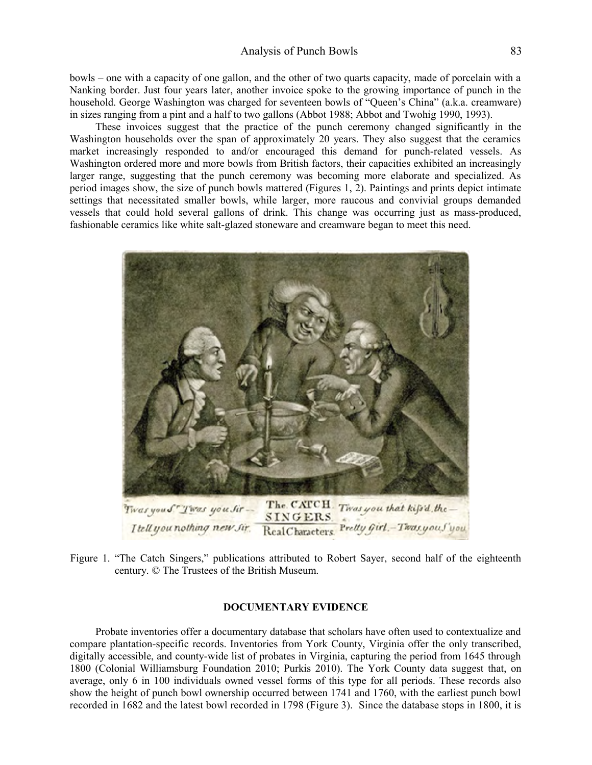bowls – one with a capacity of one gallon, and the other of two quarts capacity, made of porcelain with a Nanking border. Just four years later, another invoice spoke to the growing importance of punch in the household. George Washington was charged for seventeen bowls of "Queen's China" (a.k.a. creamware) in sizes ranging from a pint and a half to two gallons (Abbot 1988; Abbot and Twohig 1990, 1993).

These invoices suggest that the practice of the punch ceremony changed significantly in the Washington households over the span of approximately 20 years. They also suggest that the ceramics market increasingly responded to and/or encouraged this demand for punch-related vessels. As Washington ordered more and more bowls from British factors, their capacities exhibited an increasingly larger range, suggesting that the punch ceremony was becoming more elaborate and specialized. As period images show, the size of punch bowls mattered (Figures 1, 2). Paintings and prints depict intimate settings that necessitated smaller bowls, while larger, more raucous and convivial groups demanded vessels that could hold several gallons of drink. This change was occurring just as mass-produced, fashionable ceramics like white salt-glazed stoneware and creamware began to meet this need.



Figure 1. "The Catch Singers," publications attributed to Robert Sayer, second half of the eighteenth century. © The Trustees of the British Museum.

#### **DOCUMENTARY EVIDENCE**

Probate inventories offer a documentary database that scholars have often used to contextualize and compare plantation-specific records. Inventories from York County, Virginia offer the only transcribed, digitally accessible, and county-wide list of probates in Virginia, capturing the period from 1645 through 1800 (Colonial Williamsburg Foundation 2010; Purkis 2010). The York County data suggest that, on average, only 6 in 100 individuals owned vessel forms of this type for all periods. These records also show the height of punch bowl ownership occurred between 1741 and 1760, with the earliest punch bowl recorded in 1682 and the latest bowl recorded in 1798 (Figure 3). Since the database stops in 1800, it is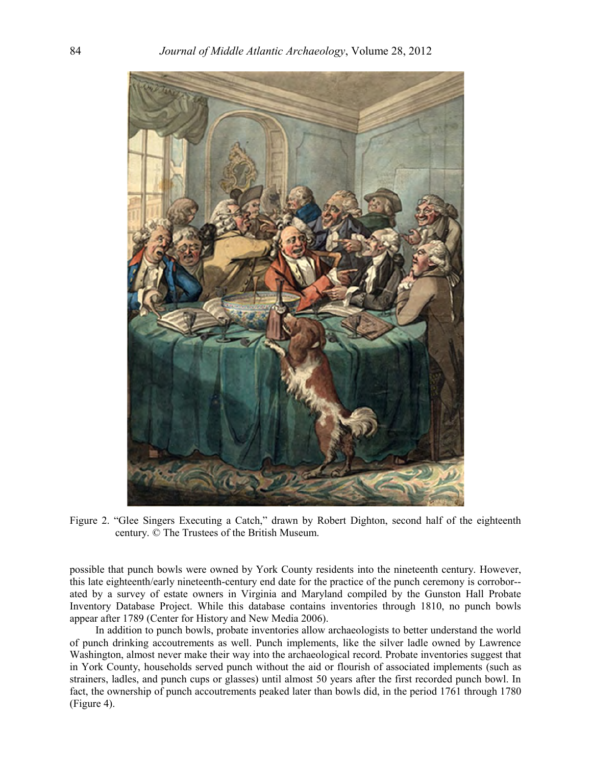

Figure 2. "Glee Singers Executing a Catch," drawn by Robert Dighton, second half of the eighteenth century. © The Trustees of the British Museum.

possible that punch bowls were owned by York County residents into the nineteenth century. However, this late eighteenth/early nineteenth-century end date for the practice of the punch ceremony is corrobor- ated by a survey of estate owners in Virginia and Maryland compiled by the Gunston Hall Probate Inventory Database Project. While this database contains inventories through 1810, no punch bowls appear after 1789 (Center for History and New Media 2006).

In addition to punch bowls, probate inventories allow archaeologists to better understand the world of punch drinking accoutrements as well. Punch implements, like the silver ladle owned by Lawrence Washington, almost never make their way into the archaeological record. Probate inventories suggest that in York County, households served punch without the aid or flourish of associated implements (such as strainers, ladles, and punch cups or glasses) until almost 50 years after the first recorded punch bowl. In fact, the ownership of punch accoutrements peaked later than bowls did, in the period 1761 through 1780 (Figure 4).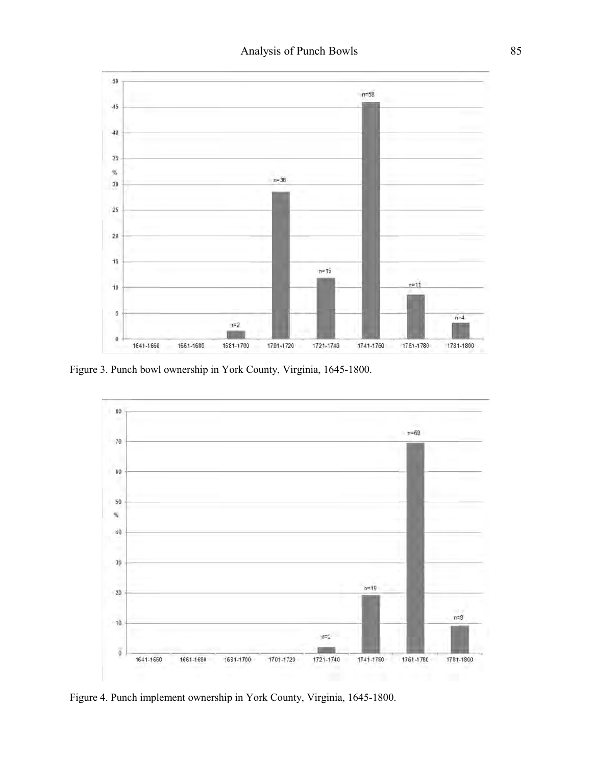

Figure 3. Punch bowl ownership in York County, Virginia, 1645-1800.



Figure 4. Punch implement ownership in York County, Virginia, 1645-1800.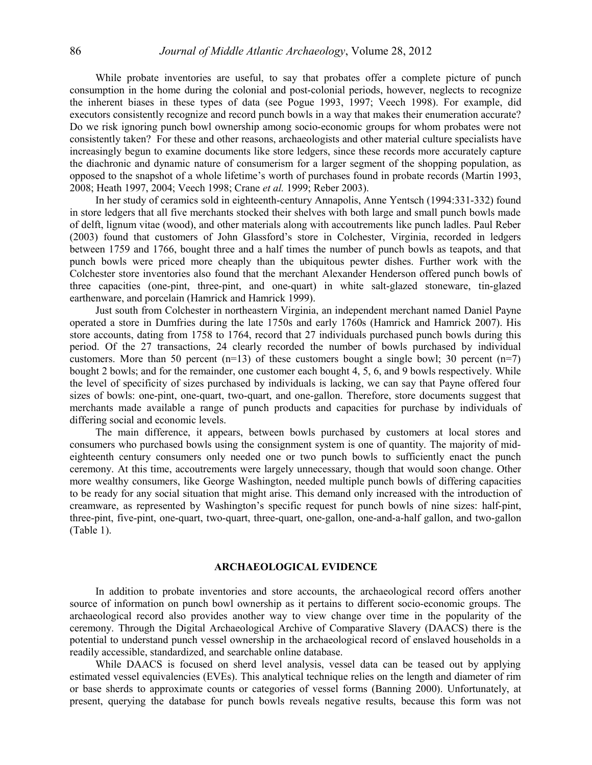While probate inventories are useful, to say that probates offer a complete picture of punch consumption in the home during the colonial and post-colonial periods, however, neglects to recognize the inherent biases in these types of data (see Pogue 1993, 1997; Veech 1998). For example, did executors consistently recognize and record punch bowls in a way that makes their enumeration accurate? Do we risk ignoring punch bowl ownership among socio-economic groups for whom probates were not consistently taken? For these and other reasons, archaeologists and other material culture specialists have increasingly begun to examine documents like store ledgers, since these records more accurately capture the diachronic and dynamic nature of consumerism for a larger segment of the shopping population, as opposed to the snapshot of a whole lifetime's worth of purchases found in probate records (Martin 1993, 2008; Heath 1997, 2004; Veech 1998; Crane *et al.* 1999; Reber 2003).

In her study of ceramics sold in eighteenth-century Annapolis, Anne Yentsch (1994:331-332) found in store ledgers that all five merchants stocked their shelves with both large and small punch bowls made of delft, lignum vitae (wood), and other materials along with accoutrements like punch ladles. Paul Reber (2003) found that customers of John Glassford's store in Colchester, Virginia, recorded in ledgers between 1759 and 1766, bought three and a half times the number of punch bowls as teapots, and that punch bowls were priced more cheaply than the ubiquitous pewter dishes. Further work with the Colchester store inventories also found that the merchant Alexander Henderson offered punch bowls of three capacities (one-pint, three-pint, and one-quart) in white salt-glazed stoneware, tin-glazed earthenware, and porcelain (Hamrick and Hamrick 1999).

Just south from Colchester in northeastern Virginia, an independent merchant named Daniel Payne operated a store in Dumfries during the late 1750s and early 1760s (Hamrick and Hamrick 2007). His store accounts, dating from 1758 to 1764, record that 27 individuals purchased punch bowls during this period. Of the 27 transactions, 24 clearly recorded the number of bowls purchased by individual customers. More than 50 percent  $(n=13)$  of these customers bought a single bowl; 30 percent  $(n=7)$ bought 2 bowls; and for the remainder, one customer each bought 4, 5, 6, and 9 bowls respectively. While the level of specificity of sizes purchased by individuals is lacking, we can say that Payne offered four sizes of bowls: one-pint, one-quart, two-quart, and one-gallon. Therefore, store documents suggest that merchants made available a range of punch products and capacities for purchase by individuals of differing social and economic levels.

The main difference, it appears, between bowls purchased by customers at local stores and consumers who purchased bowls using the consignment system is one of quantity. The majority of mideighteenth century consumers only needed one or two punch bowls to sufficiently enact the punch ceremony. At this time, accoutrements were largely unnecessary, though that would soon change. Other more wealthy consumers, like George Washington, needed multiple punch bowls of differing capacities to be ready for any social situation that might arise. This demand only increased with the introduction of creamware, as represented by Washington's specific request for punch bowls of nine sizes: half-pint, three-pint, five-pint, one-quart, two-quart, three-quart, one-gallon, one-and-a-half gallon, and two-gallon (Table 1).

#### **ARCHAEOLOGICAL EVIDENCE**

In addition to probate inventories and store accounts, the archaeological record offers another source of information on punch bowl ownership as it pertains to different socio-economic groups. The archaeological record also provides another way to view change over time in the popularity of the ceremony. Through the Digital Archaeological Archive of Comparative Slavery (DAACS) there is the potential to understand punch vessel ownership in the archaeological record of enslaved households in a readily accessible, standardized, and searchable online database.

While DAACS is focused on sherd level analysis, vessel data can be teased out by applying estimated vessel equivalencies (EVEs). This analytical technique relies on the length and diameter of rim or base sherds to approximate counts or categories of vessel forms (Banning 2000). Unfortunately, at present, querying the database for punch bowls reveals negative results, because this form was not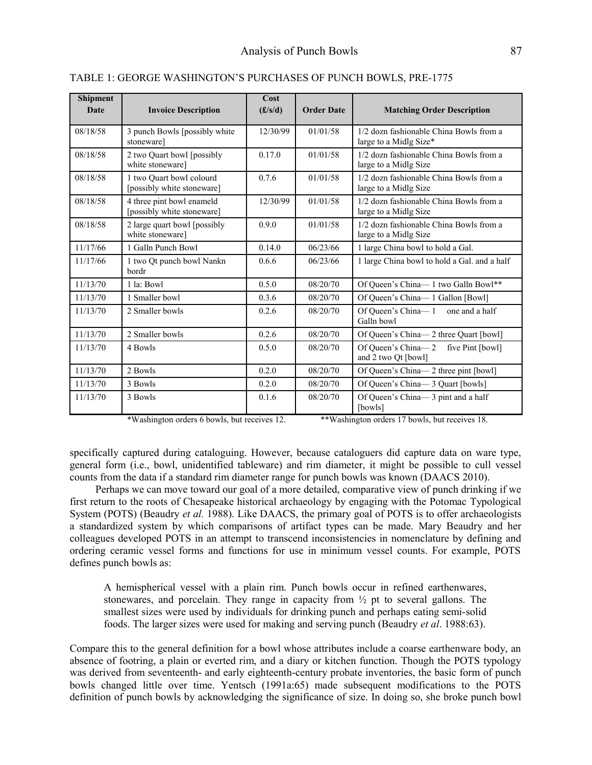| <b>Shipment</b><br>Date | <b>Invoice Description</b>                              | Cost<br>$(\pounds/s/d)$ | <b>Order Date</b> | <b>Matching Order Description</b>                                 |  |
|-------------------------|---------------------------------------------------------|-------------------------|-------------------|-------------------------------------------------------------------|--|
| 08/18/58                | 3 punch Bowls [possibly white]<br>stoneware]            | 12/30/99                | 01/01/58          | 1/2 dozn fashionable China Bowls from a<br>large to a Midlg Size* |  |
| 08/18/58                | 2 two Quart bowl [possibly<br>white stoneware]          | 0.17.0                  | 01/01/58          | 1/2 dozn fashionable China Bowls from a<br>large to a Midlg Size  |  |
| 08/18/58                | 1 two Quart bowl colourd<br>[possibly white stoneware]  | 0.7.6                   | 01/01/58          | 1/2 dozn fashionable China Bowls from a<br>large to a Midlg Size  |  |
| 08/18/58                | 4 three pint bowl enameld<br>[possibly white stoneware] | 12/30/99                | 01/01/58          | 1/2 dozn fashionable China Bowls from a<br>large to a Midlg Size  |  |
| 08/18/58                | 2 large quart bowl [possibly]<br>white stoneware]       | 0.9.0                   | 01/01/58          | 1/2 dozn fashionable China Bowls from a<br>large to a Midlg Size  |  |
| 11/17/66                | 1 Galln Punch Bowl                                      | 0.14.0                  | 06/23/66          | 1 large China bowl to hold a Gal.                                 |  |
| 11/17/66                | 1 two Qt punch bowl Nankn<br>bordr                      | 0.6.6                   | 06/23/66          | 1 large China bowl to hold a Gal. and a half                      |  |
| 11/13/70                | 1 la: Bowl                                              | 0.5.0                   | 08/20/70          | Of Queen's China-1 two Galln Bowl**                               |  |
| 11/13/70                | 1 Smaller bowl                                          | 0.3.6                   | 08/20/70          | Of Queen's China-1 Gallon [Bowl]                                  |  |
| 11/13/70                | 2 Smaller bowls                                         | 0.2.6                   | 08/20/70          | Of Queen's China-1<br>one and a half<br>Galln bowl                |  |
| 11/13/70                | 2 Smaller bowls                                         | 0.2.6                   | 08/20/70          | Of Queen's China-2 three Quart [bowl]                             |  |
| 11/13/70                | 4 Bowls                                                 | 0.5.0                   | 08/20/70          | Of Queen's China-2 five Pint [bowl]<br>and 2 two Qt [bowl]        |  |
| 11/13/70                | 2 Bowls                                                 | 0.2.0                   | 08/20/70          | Of Queen's China-2 three pint [bowl]                              |  |
| 11/13/70                | 3 Bowls                                                 | 0.2.0                   | 08/20/70          | Of Queen's China-3 Quart [bowls]                                  |  |
| 11/13/70                | 3 Bowls                                                 | 0.1.6                   | 08/20/70          | Of Queen's China-3 pint and a half<br>[bowls]                     |  |

TABLE 1: GEORGE WASHINGTON'S PURCHASES OF PUNCH BOWLS, PRE-1775

\*Washington orders 6 bowls, but receives 12. \*\*Washington orders 17 bowls, but receives 18.

specifically captured during cataloguing. However, because cataloguers did capture data on ware type, general form (i.e., bowl, unidentified tableware) and rim diameter, it might be possible to cull vessel counts from the data if a standard rim diameter range for punch bowls was known (DAACS 2010).

Perhaps we can move toward our goal of a more detailed, comparative view of punch drinking if we first return to the roots of Chesapeake historical archaeology by engaging with the Potomac Typological System (POTS) (Beaudry *et al.* 1988). Like DAACS, the primary goal of POTS is to offer archaeologists a standardized system by which comparisons of artifact types can be made. Mary Beaudry and her colleagues developed POTS in an attempt to transcend inconsistencies in nomenclature by defining and ordering ceramic vessel forms and functions for use in minimum vessel counts. For example, POTS defines punch bowls as:

A hemispherical vessel with a plain rim. Punch bowls occur in refined earthenwares, stonewares, and porcelain. They range in capacity from  $\frac{1}{2}$  pt to several gallons. The smallest sizes were used by individuals for drinking punch and perhaps eating semi-solid foods. The larger sizes were used for making and serving punch (Beaudry *et al*. 1988:63).

Compare this to the general definition for a bowl whose attributes include a coarse earthenware body, an absence of footring, a plain or everted rim, and a diary or kitchen function. Though the POTS typology was derived from seventeenth- and early eighteenth-century probate inventories, the basic form of punch bowls changed little over time. Yentsch (1991a:65) made subsequent modifications to the POTS definition of punch bowls by acknowledging the significance of size. In doing so, she broke punch bowl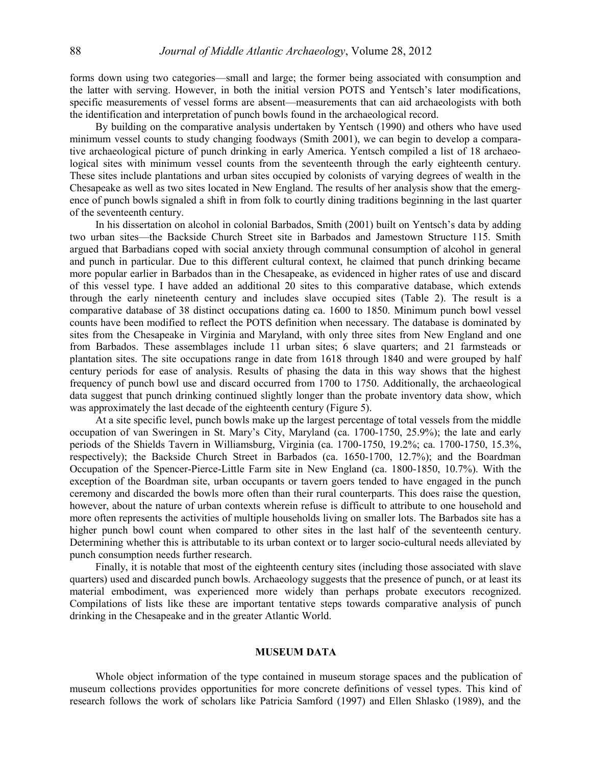forms down using two categories—small and large; the former being associated with consumption and the latter with serving. However, in both the initial version POTS and Yentsch's later modifications, specific measurements of vessel forms are absent—measurements that can aid archaeologists with both the identification and interpretation of punch bowls found in the archaeological record.

By building on the comparative analysis undertaken by Yentsch (1990) and others who have used minimum vessel counts to study changing foodways (Smith 2001), we can begin to develop a comparative archaeological picture of punch drinking in early America. Yentsch compiled a list of 18 archaeological sites with minimum vessel counts from the seventeenth through the early eighteenth century. These sites include plantations and urban sites occupied by colonists of varying degrees of wealth in the Chesapeake as well as two sites located in New England. The results of her analysis show that the emergence of punch bowls signaled a shift in from folk to courtly dining traditions beginning in the last quarter of the seventeenth century.

In his dissertation on alcohol in colonial Barbados, Smith (2001) built on Yentsch's data by adding two urban sites—the Backside Church Street site in Barbados and Jamestown Structure 115. Smith argued that Barbadians coped with social anxiety through communal consumption of alcohol in general and punch in particular. Due to this different cultural context, he claimed that punch drinking became more popular earlier in Barbados than in the Chesapeake, as evidenced in higher rates of use and discard of this vessel type. I have added an additional 20 sites to this comparative database, which extends through the early nineteenth century and includes slave occupied sites (Table 2). The result is a comparative database of 38 distinct occupations dating ca. 1600 to 1850. Minimum punch bowl vessel counts have been modified to reflect the POTS definition when necessary. The database is dominated by sites from the Chesapeake in Virginia and Maryland, with only three sites from New England and one from Barbados. These assemblages include 11 urban sites; 6 slave quarters; and 21 farmsteads or plantation sites. The site occupations range in date from 1618 through 1840 and were grouped by half century periods for ease of analysis. Results of phasing the data in this way shows that the highest frequency of punch bowl use and discard occurred from 1700 to 1750. Additionally, the archaeological data suggest that punch drinking continued slightly longer than the probate inventory data show, which was approximately the last decade of the eighteenth century (Figure 5).

At a site specific level, punch bowls make up the largest percentage of total vessels from the middle occupation of van Sweringen in St. Mary's City, Maryland (ca. 1700-1750, 25.9%); the late and early periods of the Shields Tavern in Williamsburg, Virginia (ca. 1700-1750, 19.2%; ca. 1700-1750, 15.3%, respectively); the Backside Church Street in Barbados (ca. 1650-1700, 12.7%); and the Boardman Occupation of the Spencer-Pierce-Little Farm site in New England (ca. 1800-1850, 10.7%). With the exception of the Boardman site, urban occupants or tavern goers tended to have engaged in the punch ceremony and discarded the bowls more often than their rural counterparts. This does raise the question, however, about the nature of urban contexts wherein refuse is difficult to attribute to one household and more often represents the activities of multiple households living on smaller lots. The Barbados site has a higher punch bowl count when compared to other sites in the last half of the seventeenth century. Determining whether this is attributable to its urban context or to larger socio-cultural needs alleviated by punch consumption needs further research.

Finally, it is notable that most of the eighteenth century sites (including those associated with slave quarters) used and discarded punch bowls. Archaeology suggests that the presence of punch, or at least its material embodiment, was experienced more widely than perhaps probate executors recognized. Compilations of lists like these are important tentative steps towards comparative analysis of punch drinking in the Chesapeake and in the greater Atlantic World.

#### **MUSEUM DATA**

Whole object information of the type contained in museum storage spaces and the publication of museum collections provides opportunities for more concrete definitions of vessel types. This kind of research follows the work of scholars like Patricia Samford (1997) and Ellen Shlasko (1989), and the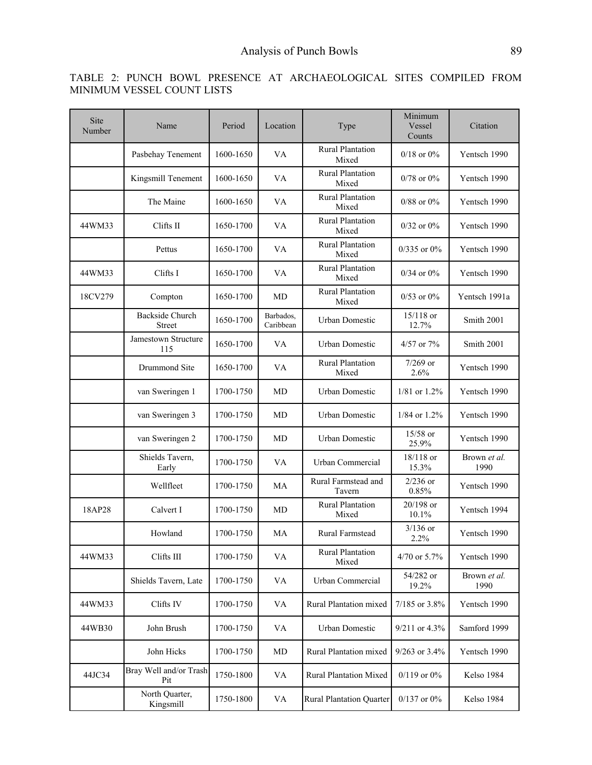# TABLE 2: PUNCH BOWL PRESENCE AT ARCHAEOLOGICAL SITES COMPILED FROM MINIMUM VESSEL COUNT LISTS

| Site<br>Number | Name                                    | Period    | Location               | Type                                      | Minimum<br>Vessel<br>Counts | Citation             |
|----------------|-----------------------------------------|-----------|------------------------|-------------------------------------------|-----------------------------|----------------------|
|                | Pasbehay Tenement                       | 1600-1650 | VA                     | <b>Rural Plantation</b><br>Mixed          | $0/18$ or $0\%$             | Yentsch 1990         |
|                | Kingsmill Tenement                      | 1600-1650 | VA                     | <b>Rural Plantation</b><br>Mixed          | $0/78$ or $0\%$             | Yentsch 1990         |
|                | The Maine                               | 1600-1650 | VA                     | <b>Rural Plantation</b><br>Mixed          | $0/88$ or $0\%$             | Yentsch 1990         |
| 44WM33         | Clifts II                               | 1650-1700 | VA                     | <b>Rural Plantation</b><br>Mixed          | $0/32$ or $0\%$             | Yentsch 1990         |
|                | Pettus                                  | 1650-1700 | VA                     | <b>Rural Plantation</b><br>Mixed          | $0/335$ or $0\%$            | Yentsch 1990         |
| 44WM33         | Clifts I                                | 1650-1700 | VA                     | <b>Rural Plantation</b><br>Mixed          | $0/34$ or $0\%$             | Yentsch 1990         |
| 18CV279        | Compton                                 | 1650-1700 | MD                     | <b>Rural Plantation</b><br>Mixed          | $0/53$ or $0\%$             | Yentsch 1991a        |
|                | <b>Backside Church</b><br><b>Street</b> | 1650-1700 | Barbados,<br>Caribbean | <b>Urban Domestic</b>                     | 15/118 or<br>12.7%          | Smith 2001           |
|                | Jamestown Structure<br>115              | 1650-1700 | VA                     | Urban Domestic                            | $4/57$ or $7\%$             | Smith 2001           |
|                | Drummond Site                           | 1650-1700 | VA                     | <b>Rural Plantation</b><br>Mixed          | $7/269$ or<br>2.6%          | Yentsch 1990         |
|                | van Sweringen 1                         | 1700-1750 | MD                     | <b>Urban Domestic</b>                     | $1/81$ or $1.2%$            | Yentsch 1990         |
|                | van Sweringen 3                         | 1700-1750 | MD                     | <b>Urban Domestic</b>                     | $1/84$ or $1.2\%$           | Yentsch 1990         |
|                | van Sweringen 2                         | 1700-1750 | MD                     | <b>Urban Domestic</b>                     | 15/58 or<br>25.9%           | Yentsch 1990         |
|                | Shields Tavern,<br>Early                | 1700-1750 | VA                     | Urban Commercial                          | 18/118 or<br>15.3%          | Brown et al.<br>1990 |
|                | Wellfleet                               | 1700-1750 | MA                     | Rural Farmstead and<br>Tavern             | $2/236$ or<br>0.85%         | Yentsch 1990         |
| 18AP28         | Calvert I                               | 1700-1750 | MD                     | <b>Rural Plantation</b><br>Mixed          | 20/198 or<br>10.1%          | Yentsch 1994         |
|                | Howland                                 | 1700-1750 | MA                     | Rural Farmstead                           | $3/136$ or<br>$2.2\%$       | Yentsch 1990         |
| 44WM33         | Clifts III                              | 1700-1750 | VA                     | Rural Plantation<br>4/70 or 5.7%<br>Mixed |                             | Yentsch 1990         |
|                | Shields Tavern, Late                    | 1700-1750 | VA                     | Urban Commercial                          | 54/282 or<br>19.2%          | Brown et al.<br>1990 |
| 44WM33         | Clifts IV                               | 1700-1750 | VA                     | Rural Plantation mixed<br>7/185 or 3.8%   |                             | Yentsch 1990         |
| 44WB30         | John Brush                              | 1700-1750 | VA                     | <b>Urban Domestic</b><br>9/211 or 4.3%    |                             | Samford 1999         |
|                | John Hicks                              | 1700-1750 | MD                     | Rural Plantation mixed                    | 9/263 or 3.4%               | Yentsch 1990         |
| 44JC34         | Bray Well and/or Trash<br>Pit           | 1750-1800 | VA                     | <b>Rural Plantation Mixed</b>             | $0/119$ or $0\%$            | Kelso 1984           |
|                | North Quarter,<br>Kingsmill             | 1750-1800 | VA                     | <b>Rural Plantation Quarter</b>           | $0/137$ or $0\%$            | Kelso 1984           |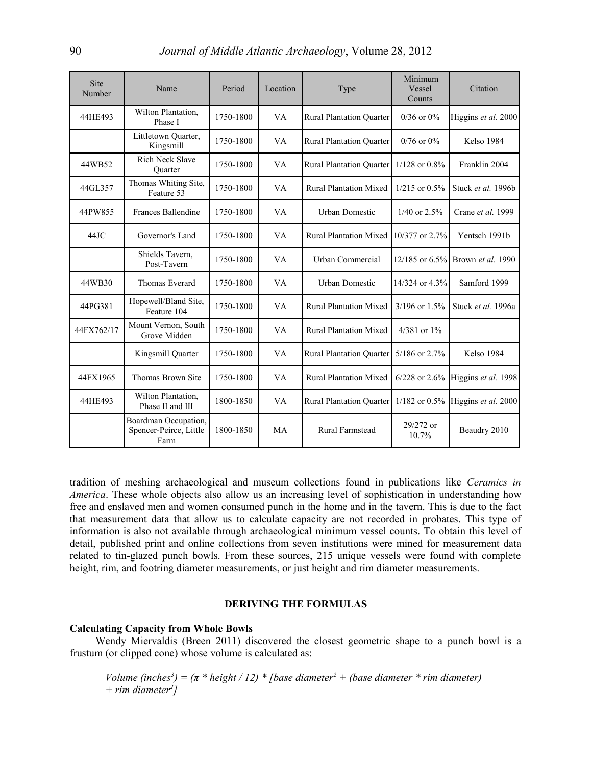| Site<br>Number | Name                                                   | Period    | Location  | Type                                    | Minimum<br>Vessel<br>Counts | Citation                                 |
|----------------|--------------------------------------------------------|-----------|-----------|-----------------------------------------|-----------------------------|------------------------------------------|
| 44HE493        | Wilton Plantation,<br>Phase I                          | 1750-1800 | VA        | <b>Rural Plantation Quarter</b>         | $0/36$ or $0\%$             | Higgins et al. 2000                      |
|                | Littletown Quarter,<br>Kingsmill                       | 1750-1800 | VA        | <b>Rural Plantation Quarter</b>         | $0/76$ or $0\%$             | Kelso 1984                               |
| 44WB52         | <b>Rich Neck Slave</b><br>Quarter                      | 1750-1800 | VA        | Rural Plantation Quarter 1/128 or 0.8%  |                             | Franklin 2004                            |
| 44GL357        | Thomas Whiting Site,<br>Feature 53                     | 1750-1800 | VA        | <b>Rural Plantation Mixed</b>           | $1/215$ or $0.5\%$          | Stuck et al. 1996b                       |
| 44PW855        | Frances Ballendine                                     | 1750-1800 | VA        | <b>Urban Domestic</b>                   | $1/40$ or $2.5%$            | Crane et al. 1999                        |
| 44JC           | Governor's Land                                        | 1750-1800 | VA        | Rural Plantation Mixed $10/377$ or 2.7% |                             | Yentsch 1991b                            |
|                | Shields Tavern,<br>Post-Tavern                         | 1750-1800 | VA        | Urban Commercial                        | $12/185$ or 6.5%            | Brown et al. 1990                        |
| 44WB30         | Thomas Everard                                         | 1750-1800 | VA        | <b>Urban Domestic</b>                   | 14/324 or 4.3%              | Samford 1999                             |
| 44PG381        | Hopewell/Bland Site,<br>Feature 104                    | 1750-1800 | VA        | <b>Rural Plantation Mixed</b>           | $3/196$ or $1.5\%$          | Stuck et al. 1996a                       |
| 44FX762/17     | Mount Vernon, South<br>Grove Midden                    | 1750-1800 | VA        | <b>Rural Plantation Mixed</b>           | 4/381 or 1%                 |                                          |
|                | Kingsmill Quarter                                      | 1750-1800 | VA        | <b>Rural Plantation Quarter</b>         | 5/186 or 2.7%               | Kelso 1984                               |
| 44FX1965       | Thomas Brown Site                                      | 1750-1800 | VA        | <b>Rural Plantation Mixed</b>           | $6/228$ or 2.6%             | Higgins et al. 1998                      |
| 44HE493        | Wilton Plantation,<br>Phase II and III                 | 1800-1850 | VA        | <b>Rural Plantation Quarter</b>         |                             | 1/182 or 0.5% Higgins <i>et al.</i> 2000 |
|                | Boardman Occupation,<br>Spencer-Peirce, Little<br>Farm | 1800-1850 | <b>MA</b> | <b>Rural Farmstead</b>                  | 29/272 or<br>10.7%          | Beaudry 2010                             |

tradition of meshing archaeological and museum collections found in publications like *Ceramics in America*. These whole objects also allow us an increasing level of sophistication in understanding how free and enslaved men and women consumed punch in the home and in the tavern. This is due to the fact that measurement data that allow us to calculate capacity are not recorded in probates. This type of information is also not available through archaeological minimum vessel counts. To obtain this level of detail, published print and online collections from seven institutions were mined for measurement data related to tin-glazed punch bowls. From these sources, 215 unique vessels were found with complete height, rim, and footring diameter measurements, or just height and rim diameter measurements.

#### **DERIVING THE FORMULAS**

#### **Calculating Capacity from Whole Bowls**

Wendy Miervaldis (Breen 2011) discovered the closest geometric shape to a punch bowl is a frustum (or clipped cone) whose volume is calculated as:

*Volume (inches<sup>3</sup>)* =  $(\pi * \text{height} / 12) * \text{[base diameter}^2 + \text{(base diameter * rim diameter)}$ *+ rim diameter<sup>2</sup> ]*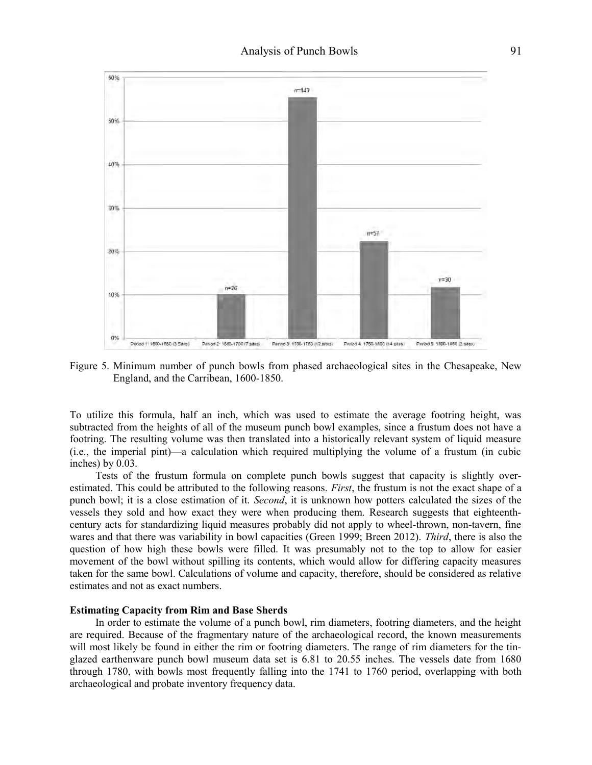

Figure 5. Minimum number of punch bowls from phased archaeological sites in the Chesapeake, New England, and the Carribean, 1600-1850.

To utilize this formula, half an inch, which was used to estimate the average footring height, was subtracted from the heights of all of the museum punch bowl examples, since a frustum does not have a footring. The resulting volume was then translated into a historically relevant system of liquid measure (i.e., the imperial pint)—a calculation which required multiplying the volume of a frustum (in cubic inches) by 0.03.

Tests of the frustum formula on complete punch bowls suggest that capacity is slightly overestimated. This could be attributed to the following reasons. *First*, the frustum is not the exact shape of a punch bowl; it is a close estimation of it. *Second*, it is unknown how potters calculated the sizes of the vessels they sold and how exact they were when producing them. Research suggests that eighteenthcentury acts for standardizing liquid measures probably did not apply to wheel-thrown, non-tavern, fine wares and that there was variability in bowl capacities (Green 1999; Breen 2012). *Third*, there is also the question of how high these bowls were filled. It was presumably not to the top to allow for easier movement of the bowl without spilling its contents, which would allow for differing capacity measures taken for the same bowl. Calculations of volume and capacity, therefore, should be considered as relative estimates and not as exact numbers.

#### **Estimating Capacity from Rim and Base Sherds**

In order to estimate the volume of a punch bowl, rim diameters, footring diameters, and the height are required. Because of the fragmentary nature of the archaeological record, the known measurements will most likely be found in either the rim or footring diameters. The range of rim diameters for the tinglazed earthenware punch bowl museum data set is 6.81 to 20.55 inches. The vessels date from 1680 through 1780, with bowls most frequently falling into the 1741 to 1760 period, overlapping with both archaeological and probate inventory frequency data.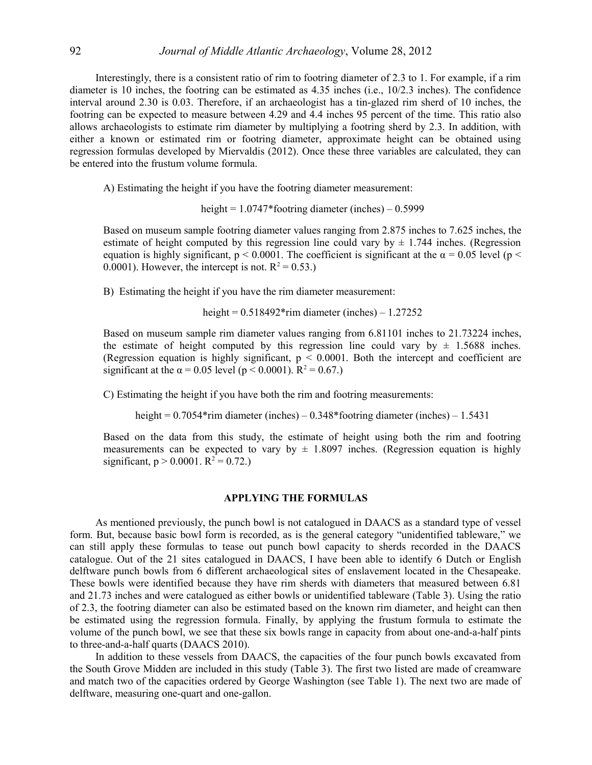Interestingly, there is a consistent ratio of rim to footring diameter of 2.3 to 1. For example, if a rim diameter is 10 inches, the footring can be estimated as 4.35 inches (i.e., 10/2.3 inches). The confidence interval around 2.30 is 0.03. Therefore, if an archaeologist has a tin-glazed rim sherd of 10 inches, the footring can be expected to measure between 4.29 and 4.4 inches 95 percent of the time. This ratio also allows archaeologists to estimate rim diameter by multiplying a footring sherd by 2.3. In addition, with either a known or estimated rim or footring diameter, approximate height can be obtained using regression formulas developed by Miervaldis (2012). Once these three variables are calculated, they can be entered into the frustum volume formula.

A) Estimating the height if you have the footring diameter measurement:

height =  $1.0747*$  footring diameter (inches) –  $0.5999$ 

Based on museum sample footring diameter values ranging from 2.875 inches to 7.625 inches, the estimate of height computed by this regression line could vary by  $\pm$  1.744 inches. (Regression equation is highly significant,  $p < 0.0001$ . The coefficient is significant at the  $\alpha = 0.05$  level ( $p <$ 0.0001). However, the intercept is not.  $R^2 = 0.53$ .)

B) Estimating the height if you have the rim diameter measurement:

height =  $0.518492*$ rim diameter (inches) –  $1.27252$ 

Based on museum sample rim diameter values ranging from 6.81101 inches to 21.73224 inches, the estimate of height computed by this regression line could vary by  $\pm$  1.5688 inches. (Regression equation is highly significant,  $p \le 0.0001$ . Both the intercept and coefficient are significant at the  $\alpha = 0.05$  level ( $p < 0.0001$ ).  $R^2 = 0.67$ .)

C) Estimating the height if you have both the rim and footring measurements:

height = 0.7054\*rim diameter (inches) – 0.348\*footring diameter (inches) – 1.5431

Based on the data from this study, the estimate of height using both the rim and footring measurements can be expected to vary by  $\pm$  1.8097 inches. (Regression equation is highly significant,  $p > 0.0001$ .  $R^2 = 0.72$ .)

#### **APPLYING THE FORMULAS**

As mentioned previously, the punch bowl is not catalogued in DAACS as a standard type of vessel form. But, because basic bowl form is recorded, as is the general category "unidentified tableware," we can still apply these formulas to tease out punch bowl capacity to sherds recorded in the DAACS catalogue. Out of the 21 sites catalogued in DAACS, I have been able to identify 6 Dutch or English delftware punch bowls from 6 different archaeological sites of enslavement located in the Chesapeake. These bowls were identified because they have rim sherds with diameters that measured between 6.81 and 21.73 inches and were catalogued as either bowls or unidentified tableware (Table 3). Using the ratio of 2.3, the footring diameter can also be estimated based on the known rim diameter, and height can then be estimated using the regression formula. Finally, by applying the frustum formula to estimate the volume of the punch bowl, we see that these six bowls range in capacity from about one-and-a-half pints to three-and-a-half quarts (DAACS 2010).

In addition to these vessels from DAACS, the capacities of the four punch bowls excavated from the South Grove Midden are included in this study (Table 3). The first two listed are made of creamware and match two of the capacities ordered by George Washington (see Table 1). The next two are made of delftware, measuring one-quart and one-gallon.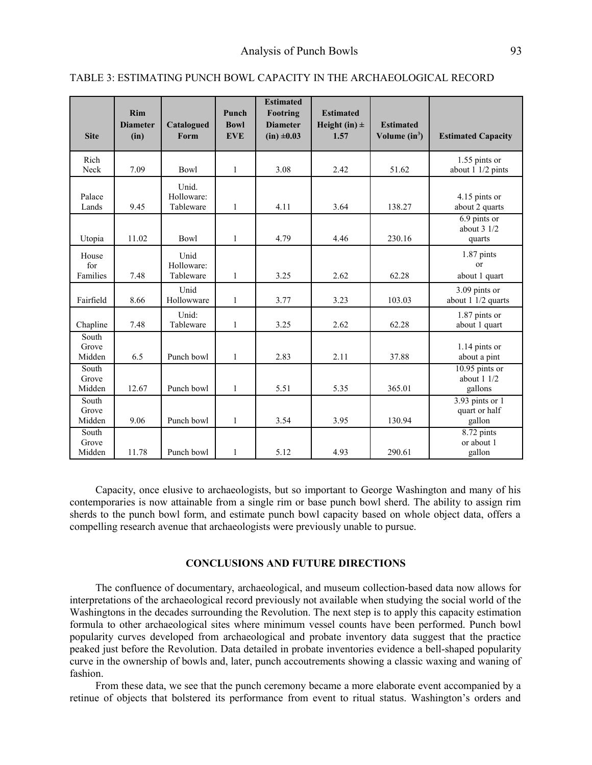| <b>Site</b>              | <b>Rim</b><br><b>Diameter</b><br>(in) | Catalogued<br>Form               | Punch<br><b>Bowl</b><br><b>EVE</b> | <b>Estimated</b><br>Footring<br><b>Diameter</b><br>$(in) \pm 0.03$ | <b>Estimated</b><br>Height (in) $\pm$<br>1.57 | <b>Estimated</b><br>Volume $(in^3)$ | <b>Estimated Capacity</b>                      |
|--------------------------|---------------------------------------|----------------------------------|------------------------------------|--------------------------------------------------------------------|-----------------------------------------------|-------------------------------------|------------------------------------------------|
| Rich<br>Neck             | 7.09                                  | Bowl                             | 1                                  | 3.08                                                               | 2.42                                          | 51.62                               | $1.55$ pints or<br>about 1 1/2 pints           |
| Palace<br>Lands          | 9.45                                  | Unid.<br>Holloware:<br>Tableware | $\mathbf{1}$                       | 4.11                                                               | 3.64                                          | 138.27                              | 4.15 pints or<br>about 2 quarts                |
| Utopia                   | 11.02                                 | <b>Bowl</b>                      | $\mathbf{1}$                       | 4.79                                                               | 4.46                                          | 230.16                              | 6.9 pints or<br>about $31/2$<br>quarts         |
| House<br>for<br>Families | 7.48                                  | Unid<br>Holloware:<br>Tableware  | 1                                  | 3.25                                                               | 2.62                                          | 62.28                               | $1.87$ pints<br><sub>or</sub><br>about 1 quart |
| Fairfield                | 8.66                                  | Unid<br>Hollowware               | $\mathbf{1}$                       | 3.77                                                               | 3.23                                          | 103.03                              | 3.09 pints or<br>about 1 1/2 quarts            |
| Chapline                 | 7.48                                  | Unid:<br>Tableware               | 1                                  | 3.25                                                               | 2.62                                          | 62.28                               | 1.87 pints or<br>about 1 quart                 |
| South<br>Grove<br>Midden | 6.5                                   | Punch bowl                       | $\mathbf{1}$                       | 2.83                                                               | 2.11                                          | 37.88                               | 1.14 pints or<br>about a pint                  |
| South<br>Grove<br>Midden | 12.67                                 | Punch bowl                       | $\mathbf{1}$                       | 5.51                                                               | 5.35                                          | 365.01                              | $10.95$ pints or<br>about $11/2$<br>gallons    |
| South<br>Grove<br>Midden | 9.06                                  | Punch bowl                       | 1                                  | 3.54                                                               | 3.95                                          | 130.94                              | $3.93$ pints or 1<br>quart or half<br>gallon   |
| South<br>Grove<br>Midden | 11.78                                 | Punch bowl                       | $\mathbf{1}$                       | 5.12                                                               | 4.93                                          | 290.61                              | $8.72$ pints<br>or about 1<br>gallon           |

#### TABLE 3: ESTIMATING PUNCH BOWL CAPACITY IN THE ARCHAEOLOGICAL RECORD

Capacity, once elusive to archaeologists, but so important to George Washington and many of his contemporaries is now attainable from a single rim or base punch bowl sherd. The ability to assign rim sherds to the punch bowl form, and estimate punch bowl capacity based on whole object data, offers a compelling research avenue that archaeologists were previously unable to pursue.

## **CONCLUSIONS AND FUTURE DIRECTIONS**

The confluence of documentary, archaeological, and museum collection-based data now allows for interpretations of the archaeological record previously not available when studying the social world of the Washingtons in the decades surrounding the Revolution. The next step is to apply this capacity estimation formula to other archaeological sites where minimum vessel counts have been performed. Punch bowl popularity curves developed from archaeological and probate inventory data suggest that the practice peaked just before the Revolution. Data detailed in probate inventories evidence a bell-shaped popularity curve in the ownership of bowls and, later, punch accoutrements showing a classic waxing and waning of fashion.

From these data, we see that the punch ceremony became a more elaborate event accompanied by a retinue of objects that bolstered its performance from event to ritual status. Washington's orders and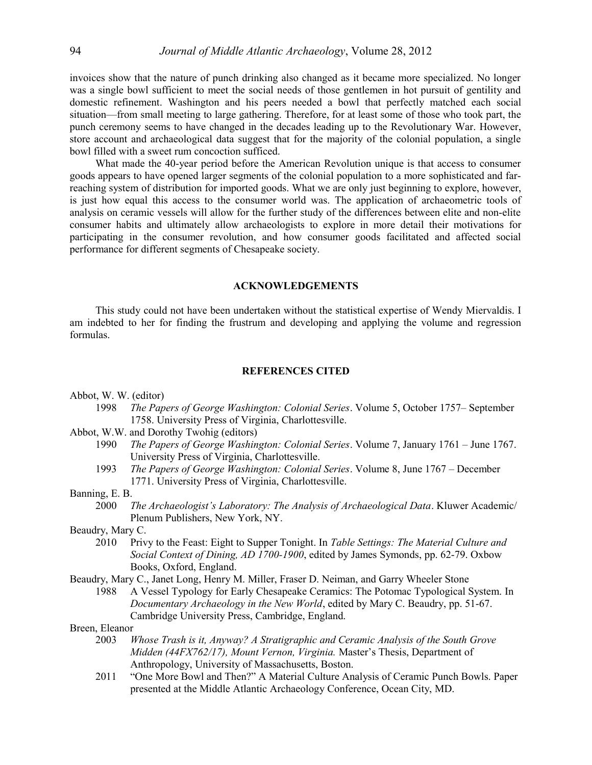invoices show that the nature of punch drinking also changed as it became more specialized. No longer was a single bowl sufficient to meet the social needs of those gentlemen in hot pursuit of gentility and domestic refinement. Washington and his peers needed a bowl that perfectly matched each social situation—from small meeting to large gathering. Therefore, for at least some of those who took part, the punch ceremony seems to have changed in the decades leading up to the Revolutionary War. However, store account and archaeological data suggest that for the majority of the colonial population, a single bowl filled with a sweet rum concoction sufficed.

What made the 40-year period before the American Revolution unique is that access to consumer goods appears to have opened larger segments of the colonial population to a more sophisticated and farreaching system of distribution for imported goods. What we are only just beginning to explore, however, is just how equal this access to the consumer world was. The application of archaeometric tools of analysis on ceramic vessels will allow for the further study of the differences between elite and non-elite consumer habits and ultimately allow archaeologists to explore in more detail their motivations for participating in the consumer revolution, and how consumer goods facilitated and affected social performance for different segments of Chesapeake society.

#### **ACKNOWLEDGEMENTS**

This study could not have been undertaken without the statistical expertise of Wendy Miervaldis. I am indebted to her for finding the frustrum and developing and applying the volume and regression formulas.

#### **REFERENCES CITED**

Abbot, W. W. (editor)

- 1998 *The Papers of George Washington: Colonial Series*. Volume 5, October 1757– September 1758. University Press of Virginia, Charlottesville.
- Abbot, W.W. and Dorothy Twohig (editors)
	- 1990 *The Papers of George Washington: Colonial Series*. Volume 7, January 1761 June 1767. University Press of Virginia, Charlottesville.
	- 1993 *The Papers of George Washington: Colonial Series*. Volume 8, June 1767 December 1771. University Press of Virginia, Charlottesville.

# Banning, E. B.

- 2000 *The Archaeologist's Laboratory: The Analysis of Archaeological Data*. Kluwer Academic/ Plenum Publishers, New York, NY.
- Beaudry, Mary C.
	- 2010 Privy to the Feast: Eight to Supper Tonight. In *Table Settings: The Material Culture and Social Context of Dining, AD 1700-1900*, edited by James Symonds, pp. 62-79. Oxbow Books, Oxford, England.

Beaudry, Mary C., Janet Long, Henry M. Miller, Fraser D. Neiman, and Garry Wheeler Stone

1988 A Vessel Typology for Early Chesapeake Ceramics: The Potomac Typological System. In *Documentary Archaeology in the New World*, edited by Mary C. Beaudry, pp. 51-67. Cambridge University Press, Cambridge, England.

Breen, Eleanor

- 2003 *Whose Trash is it, Anyway? A Stratigraphic and Ceramic Analysis of the South Grove Midden (44FX762/17), Mount Vernon, Virginia.* Master's Thesis, Department of Anthropology, University of Massachusetts, Boston.
- 2011 "One More Bowl and Then?" A Material Culture Analysis of Ceramic Punch Bowls. Paper presented at the Middle Atlantic Archaeology Conference, Ocean City, MD.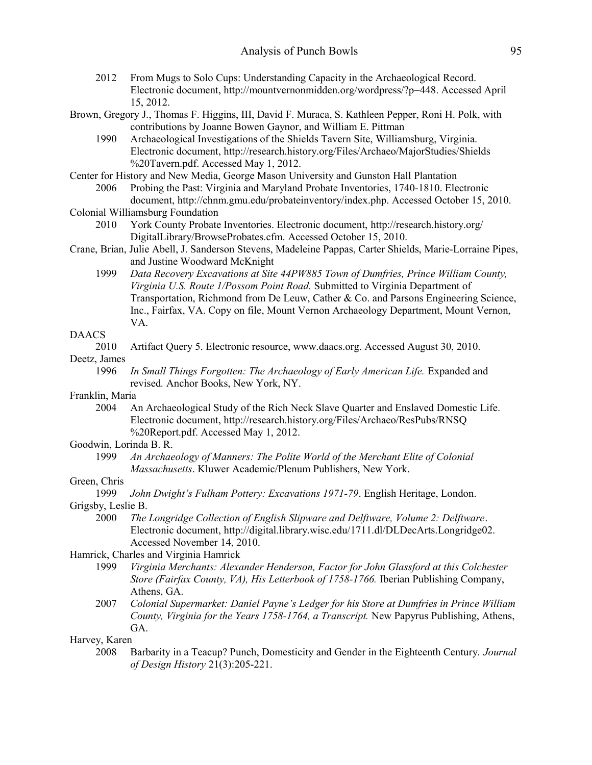- 2012 From Mugs to Solo Cups: Understanding Capacity in the Archaeological Record. Electronic document, http://mountvernonmidden.org/wordpress/?p=448. Accessed April 15, 2012.
- Brown, Gregory J., Thomas F. Higgins, III, David F. Muraca, S. Kathleen Pepper, Roni H. Polk, with contributions by Joanne Bowen Gaynor, and William E. Pittman
	- 1990 Archaeological Investigations of the Shields Tavern Site, Williamsburg, Virginia. Electronic document, http://research.history.org/Files/Archaeo/MajorStudies/Shields %20Tavern.pdf. Accessed May 1, 2012.

Center for History and New Media, George Mason University and Gunston Hall Plantation

- 2006 Probing the Past: Virginia and Maryland Probate Inventories, 1740-1810. Electronic document, http://chnm.gmu.edu/probateinventory/index.php. Accessed October 15, 2010.
- Colonial Williamsburg Foundation
	- 2010 York County Probate Inventories. Electronic document,<http://research.history.org/> DigitalLibrary/BrowseProbates.cfm. Accessed October 15, 2010.
- Crane, Brian, Julie Abell, J. Sanderson Stevens, Madeleine Pappas, Carter Shields, Marie-Lorraine Pipes, and Justine Woodward McKnight
	- 1999 *Data Recovery Excavations at Site 44PW885 Town of Dumfries, Prince William County, Virginia U.S. Route 1/Possom Point Road.* Submitted to Virginia Department of Transportation, Richmond from De Leuw, Cather & Co. and Parsons Engineering Science, Inc., Fairfax, VA. Copy on file, Mount Vernon Archaeology Department, Mount Vernon, VA.

# DAACS

2010 Artifact Query 5. Electronic resource, www.daacs.org. Accessed August 30, 2010.

#### Deetz, James

1996 *In Small Things Forgotten: The Archaeology of Early American Life.* Expanded and revised*.* Anchor Books, New York, NY.

# Franklin, Maria

2004 An Archaeological Study of the Rich Neck Slave Quarter and Enslaved Domestic Life. Electronic document, http://research.history.org/Files/Archaeo/ResPubs/RNSQ %20Report.pdf. Accessed May 1, 2012.

## Goodwin, Lorinda B. R.

1999 *An Archaeology of Manners: The Polite World of the Merchant Elite of Colonial Massachusetts*. Kluwer Academic/Plenum Publishers, New York.

# Green, Chris

1999 *John Dwight's Fulham Pottery: Excavations 1971-79*. English Heritage, London.

# Grigsby, Leslie B.

2000 *The Longridge Collection of English Slipware and Delftware, Volume 2: Delftware*. Electronic document, http://digital.library.wisc.edu/1711.dl/DLDecArts.Longridge02. Accessed November 14, 2010.

# Hamrick, Charles and Virginia Hamrick

- 1999 *Virginia Merchants: Alexander Henderson, Factor for John Glassford at this Colchester Store (Fairfax County, VA), His Letterbook of 1758-1766.* Iberian Publishing Company, Athens, GA.
- 2007 *Colonial Supermarket: Daniel Payne's Ledger for his Store at Dumfries in Prince William County, Virginia for the Years 1758-1764, a Transcript.* New Papyrus Publishing, Athens, GA.

#### Harvey, Karen

2008 Barbarity in a Teacup? Punch, Domesticity and Gender in the Eighteenth Century. *Journal of Design History* 21(3):205-221.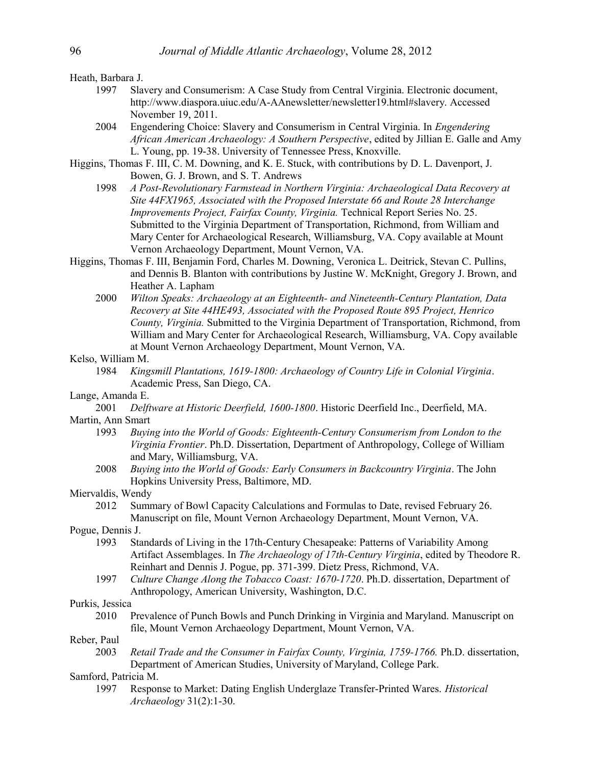Heath, Barbara J.

- 1997 Slavery and Consumerism: A Case Study from Central Virginia. Electronic document, http://www.diaspora.uiuc.edu/A-AAnewsletter/newsletter19.html#slavery. Accessed November 19, 2011.
- 2004 Engendering Choice: Slavery and Consumerism in Central Virginia. In *Engendering African American Archaeology: A Southern Perspective*, edited by Jillian E. Galle and Amy L. Young, pp. 19-38. University of Tennessee Press, Knoxville.
- Higgins, Thomas F. III, C. M. Downing, and K. E. Stuck, with contributions by D. L. Davenport, J. Bowen, G. J. Brown, and S. T. Andrews
	- 1998 *A Post-Revolutionary Farmstead in Northern Virginia: Archaeological Data Recovery at Site 44FX1965, Associated with the Proposed Interstate 66 and Route 28 Interchange Improvements Project, Fairfax County, Virginia.* Technical Report Series No. 25. Submitted to the Virginia Department of Transportation, Richmond, from William and Mary Center for Archaeological Research, Williamsburg, VA. Copy available at Mount Vernon Archaeology Department, Mount Vernon, VA.
- Higgins, Thomas F. III, Benjamin Ford, Charles M. Downing, Veronica L. Deitrick, Stevan C. Pullins, and Dennis B. Blanton with contributions by Justine W. McKnight, Gregory J. Brown, and Heather A. Lapham
	- 2000 *Wilton Speaks: Archaeology at an Eighteenth- and Nineteenth-Century Plantation, Data Recovery at Site 44HE493, Associated with the Proposed Route 895 Project, Henrico County, Virginia.* Submitted to the Virginia Department of Transportation, Richmond, from William and Mary Center for Archaeological Research, Williamsburg, VA. Copy available at Mount Vernon Archaeology Department, Mount Vernon, VA.

#### Kelso, William M.

1984 *Kingsmill Plantations, 1619-1800: Archaeology of Country Life in Colonial Virginia*. Academic Press, San Diego, CA.

## Lange, Amanda E.

- 2001 *Delftware at Historic Deerfield, 1600-1800*. Historic Deerfield Inc., Deerfield, MA. Martin, Ann Smart
	- 1993 *Buying into the World of Goods: Eighteenth-Century Consumerism from London to the Virginia Frontier*. Ph.D. Dissertation, Department of Anthropology, College of William and Mary, Williamsburg, VA.
	- 2008 *Buying into the World of Goods: Early Consumers in Backcountry Virginia*. The John Hopkins University Press, Baltimore, MD.

# Miervaldis, Wendy

2012 Summary of Bowl Capacity Calculations and Formulas to Date, revised February 26. Manuscript on file, Mount Vernon Archaeology Department, Mount Vernon, VA.

Pogue, Dennis J.

- 1993 Standards of Living in the 17th-Century Chesapeake: Patterns of Variability Among Artifact Assemblages. In *The Archaeology of 17th-Century Virginia*, edited by Theodore R. Reinhart and Dennis J. Pogue, pp. 371-399. Dietz Press, Richmond, VA.
- 1997 *Culture Change Along the Tobacco Coast: 1670-1720*. Ph.D. dissertation, Department of Anthropology, American University, Washington, D.C.

Purkis, Jessica

2010 Prevalence of Punch Bowls and Punch Drinking in Virginia and Maryland. Manuscript on file, Mount Vernon Archaeology Department, Mount Vernon, VA.

#### Reber, Paul

2003 *Retail Trade and the Consumer in Fairfax County, Virginia, 1759-1766.* Ph.D. dissertation, Department of American Studies, University of Maryland, College Park.

## Samford, Patricia M.

1997 Response to Market: Dating English Underglaze Transfer-Printed Wares. *Historical Archaeology* 31(2):1-30.